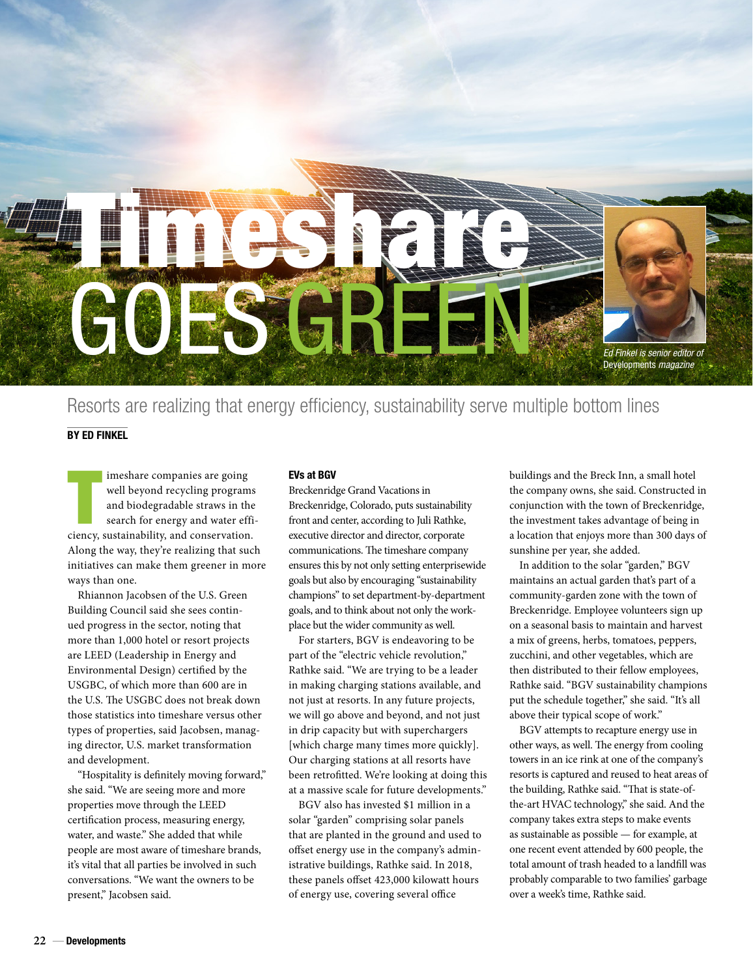

Resorts are realizing that energy efficiency, sustainability serve multiple bottom lines BY ED FINKEL

Imeshare companies are going<br>
well beyond recycling programs<br>
and biodegradable straws in the<br>
search for energy and water efficiency, sustainability, and conservation. imeshare companies are going well beyond recycling programs and biodegradable straws in the search for energy and water effi-Along the way, they're realizing that such initiatives can make them greener in more ways than one.

Rhiannon Jacobsen of the U.S. Green Building Council said she sees continued progress in the sector, noting that more than 1,000 hotel or resort projects are LEED (Leadership in Energy and Environmental Design) certified by the USGBC, of which more than 600 are in the U.S. The USGBC does not break down those statistics into timeshare versus other types of properties, said Jacobsen, managing director, U.S. market transformation and development.

"Hospitality is definitely moving forward," she said. "We are seeing more and more properties move through the LEED certification process, measuring energy, water, and waste." She added that while people are most aware of timeshare brands, it's vital that all parties be involved in such conversations. "We want the owners to be present," Jacobsen said.

#### EVs at BGV

Breckenridge Grand Vacations in Breckenridge, Colorado, puts sustainability front and center, according to Juli Rathke, executive director and director, corporate communications. The timeshare company ensures this by not only setting enterprisewide goals but also by encouraging "sustainability champions" to set department-by-department goals, and to think about not only the workplace but the wider community as well.

For starters, BGV is endeavoring to be part of the "electric vehicle revolution," Rathke said. "We are trying to be a leader in making charging stations available, and not just at resorts. In any future projects, we will go above and beyond, and not just in drip capacity but with superchargers [which charge many times more quickly]. Our charging stations at all resorts have been retrofitted. We're looking at doing this at a massive scale for future developments."

BGV also has invested \$1 million in a solar "garden" comprising solar panels that are planted in the ground and used to offset energy use in the company's administrative buildings, Rathke said. In 2018, these panels offset 423,000 kilowatt hours of energy use, covering several office

buildings and the Breck Inn, a small hotel the company owns, she said. Constructed in conjunction with the town of Breckenridge, the investment takes advantage of being in a location that enjoys more than 300 days of sunshine per year, she added.

In addition to the solar "garden," BGV maintains an actual garden that's part of a community-garden zone with the town of Breckenridge. Employee volunteers sign up on a seasonal basis to maintain and harvest a mix of greens, herbs, tomatoes, peppers, zucchini, and other vegetables, which are then distributed to their fellow employees, Rathke said. "BGV sustainability champions put the schedule together," she said. "It's all above their typical scope of work."

BGV attempts to recapture energy use in other ways, as well. The energy from cooling towers in an ice rink at one of the company's resorts is captured and reused to heat areas of the building, Rathke said. "That is state-ofthe-art HVAC technology," she said. And the company takes extra steps to make events as sustainable as possible — for example, at one recent event attended by 600 people, the total amount of trash headed to a landfill was probably comparable to two families' garbage over a week's time, Rathke said.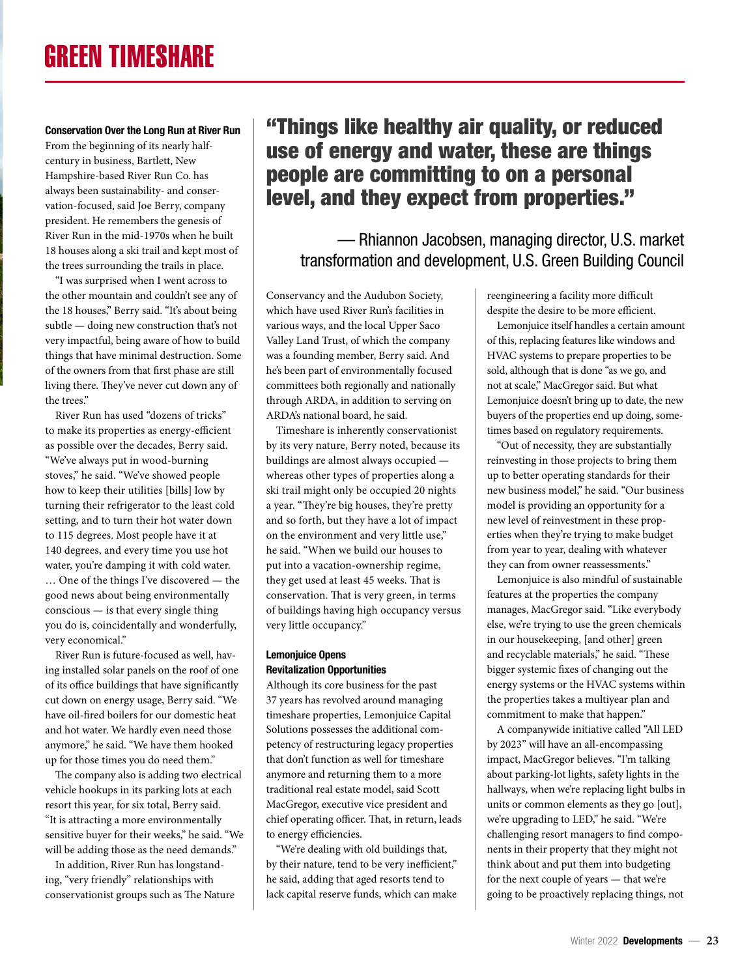## Conservation Over the Long Run at River Run

From the beginning of its nearly halfcentury in business, Bartlett, New Hampshire-based River Run Co. has always been sustainability- and conservation-focused, said Joe Berry, company president. He remembers the genesis of River Run in the mid-1970s when he built 18 houses along a ski trail and kept most of the trees surrounding the trails in place.

"I was surprised when I went across to the other mountain and couldn't see any of the 18 houses," Berry said. "It's about being subtle — doing new construction that's not very impactful, being aware of how to build things that have minimal destruction. Some of the owners from that first phase are still living there. They've never cut down any of the trees."

River Run has used "dozens of tricks" to make its properties as energy-efficient as possible over the decades, Berry said. "We've always put in wood-burning stoves," he said. "We've showed people how to keep their utilities [bills] low by turning their refrigerator to the least cold setting, and to turn their hot water down to 115 degrees. Most people have it at 140 degrees, and every time you use hot water, you're damping it with cold water. … One of the things I've discovered — the good news about being environmentally conscious — is that every single thing you do is, coincidentally and wonderfully, very economical."

River Run is future-focused as well, having installed solar panels on the roof of one of its office buildings that have significantly cut down on energy usage, Berry said. "We have oil-fired boilers for our domestic heat and hot water. We hardly even need those anymore," he said. "We have them hooked up for those times you do need them."

The company also is adding two electrical vehicle hookups in its parking lots at each resort this year, for six total, Berry said. "It is attracting a more environmentally sensitive buyer for their weeks," he said. "We will be adding those as the need demands."

In addition, River Run has longstanding, "very friendly" relationships with conservationist groups such as The Nature

# "Things like healthy air quality, or reduced use of energy and water, these are things people are committing to on a personal level, and they expect from properties."

— Rhiannon Jacobsen, managing director, U.S. market transformation and development, U.S. Green Building Council

Conservancy and the Audubon Society, which have used River Run's facilities in various ways, and the local Upper Saco Valley Land Trust, of which the company was a founding member, Berry said. And he's been part of environmentally focused committees both regionally and nationally through ARDA, in addition to serving on ARDA's national board, he said.

Timeshare is inherently conservationist by its very nature, Berry noted, because its buildings are almost always occupied whereas other types of properties along a ski trail might only be occupied 20 nights a year. "They're big houses, they're pretty and so forth, but they have a lot of impact on the environment and very little use," he said. "When we build our houses to put into a vacation-ownership regime, they get used at least 45 weeks. That is conservation. That is very green, in terms of buildings having high occupancy versus very little occupancy."

# Lemonjuice Opens Revitalization Opportunities

Although its core business for the past 37 years has revolved around managing timeshare properties, Lemonjuice Capital Solutions possesses the additional competency of restructuring legacy properties that don't function as well for timeshare anymore and returning them to a more traditional real estate model, said Scott MacGregor, executive vice president and chief operating officer. That, in return, leads to energy efficiencies.

"We're dealing with old buildings that, by their nature, tend to be very inefficient," he said, adding that aged resorts tend to lack capital reserve funds, which can make reengineering a facility more difficult despite the desire to be more efficient.

Lemonjuice itself handles a certain amount of this, replacing features like windows and HVAC systems to prepare properties to be sold, although that is done "as we go, and not at scale," MacGregor said. But what Lemonjuice doesn't bring up to date, the new buyers of the properties end up doing, sometimes based on regulatory requirements.

"Out of necessity, they are substantially reinvesting in those projects to bring them up to better operating standards for their new business model," he said. "Our business model is providing an opportunity for a new level of reinvestment in these properties when they're trying to make budget from year to year, dealing with whatever they can from owner reassessments."

Lemonjuice is also mindful of sustainable features at the properties the company manages, MacGregor said. "Like everybody else, we're trying to use the green chemicals in our housekeeping, [and other] green and recyclable materials," he said. "These bigger systemic fixes of changing out the energy systems or the HVAC systems within the properties takes a multiyear plan and commitment to make that happen."

A companywide initiative called "All LED by 2023" will have an all-encompassing impact, MacGregor believes. "I'm talking about parking-lot lights, safety lights in the hallways, when we're replacing light bulbs in units or common elements as they go [out], we're upgrading to LED," he said. "We're challenging resort managers to find components in their property that they might not think about and put them into budgeting for the next couple of years — that we're going to be proactively replacing things, not